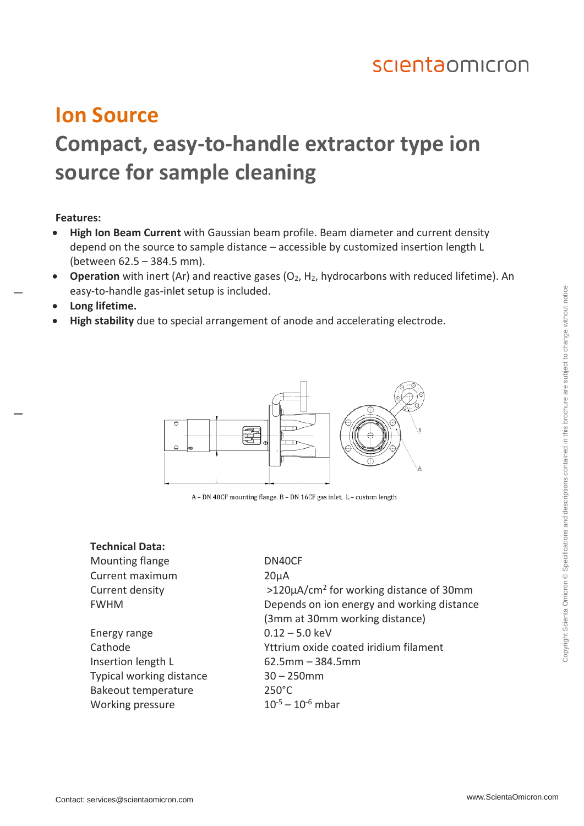## scientaomicron

## **Ion Source Compact, easy-to-handle extractor type ion source for sample cleaning**

#### **Features:**

- **High Ion Beam Current** with Gaussian beam profile. Beam diameter and current density depend on the source to sample distance – accessible by customized insertion length L (between 62.5 – 384.5 mm).
- **Operation** with inert (Ar) and reactive gases (O<sub>2</sub>, H<sub>2</sub>, hydrocarbons with reduced lifetime). An easy-to-handle gas-inlet setup is included.
- **Long lifetime.**
- **High stability** due to special arrangement of anode and accelerating electrode.



A - DN 40CF mounting flange, B - DN 16CF gas inlet, L - custom length

#### **Technical Data:**

Mounting flange DN40CF Current maximum 20µA Current density

Energy range 0.12 – 5.0 keV Insertion length L 62.5mm – 384.5mm Typical working distance 30 – 250mm Bakeout temperature 250°C Working pressure  $10^{-5} - 10^{-6}$  mbar

 $>120\mu$ A/cm<sup>2</sup> for working distance of 30mm FWHM Depends on ion energy and working distance (3mm at 30mm working distance) Cathode Yttrium oxide coated iridium filament